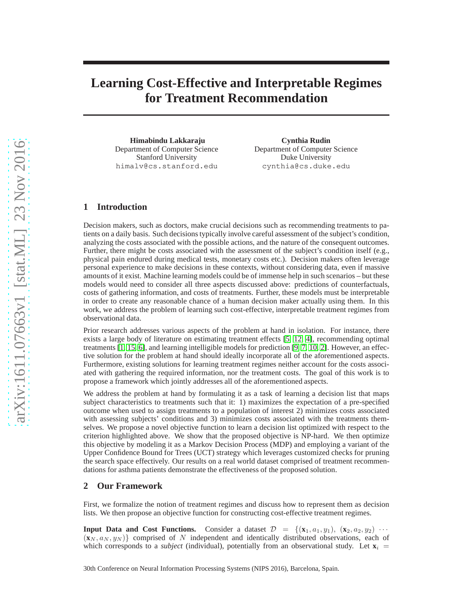# **Learning Cost-Effective and Interpretable Regimes for Treatment Recommendation**

**Himabindu Lakkaraju** Department of Computer Science Stanford University himalv@cs.stanford.edu

**Cynthia Rudin** Department of Computer Science Duke University cynthia@cs.duke.edu

## **1 Introduction**

Decision makers, such as doctors, make crucial decisions such as recommending treatments to patients on a daily basis. Such decisions typically involve careful assessment of the subject's condition, analyzing the costs associated with the possible actions, and the nature of the consequent outcomes. Further, there might be costs associated with the assessment of the subject's condition itself (e.g., physical pain endured during medical tests, monetary costs etc.). Decision makers often leverage personal experience to make decisions in these contexts, without considering data, even if massive amounts of it exist. Machine learning models could be of immense help in such scenarios – but these models would need to consider all three aspects discussed above: predictions of counterfactuals, costs of gathering information, and costs of treatments. Further, these models must be interpretable in order to create any reasonable chance of a human decision maker actually using them. In this work, we address the problem of learning such cost-effective, interpretable treatment regimes from observational data.

Prior research addresses various aspects of the problem at hand in isolation. For instance, there exists a large body of literature on estimating treatment effects [\[5,](#page-4-0) [12,](#page-4-1) [4\]](#page-4-2), recommending optimal treatments [\[1,](#page-4-3) [15,](#page-4-4) [6\]](#page-4-5), and learning intelligible models for prediction [\[9,](#page-4-6) [7,](#page-4-7) [10,](#page-4-8) [2\]](#page-4-9). However, an effective solution for the problem at hand should ideally incorporate all of the aforementioned aspects. Furthermore, existing solutions for learning treatment regimes neither account for the costs associated with gathering the required information, nor the treatment costs. The goal of this work is to propose a framework which jointly addresses all of the aforementioned aspects.

We address the problem at hand by formulating it as a task of learning a decision list that maps subject characteristics to treatments such that it: 1) maximizes the expectation of a pre-specified outcome when used to assign treatments to a population of interest 2) minimizes costs associated with assessing subjects' conditions and 3) minimizes costs associated with the treatments themselves. We propose a novel objective function to learn a decision list optimized with respect to the criterion highlighted above. We show that the proposed objective is NP-hard. We then optimize this objective by modeling it as a Markov Decision Process (MDP) and employing a variant of the Upper Confidence Bound for Trees (UCT) strategy which leverages customized checks for pruning the search space effectively. Our results on a real world dataset comprised of treatment recommendations for asthma patients demonstrate the effectiveness of the proposed solution.

#### **2 Our Framework**

First, we formalize the notion of treatment regimes and discuss how to represent them as decision lists. We then propose an objective function for constructing cost-effective treatment regimes.

**Input Data and Cost Functions.** Consider a dataset  $\mathcal{D} = \{(\mathbf{x}_1, a_1, y_1), (\mathbf{x}_2, a_2, y_2) \cdots \}$  $(\mathbf{x}_N, a_N, y_N)$  comprised of N independent and identically distributed observations, each of which corresponds to a *subject* (individual), potentially from an observational study. Let  $\mathbf{x}_i$ 

30th Conference on Neural Information Processing Systems (NIPS 2016), Barcelona, Spain.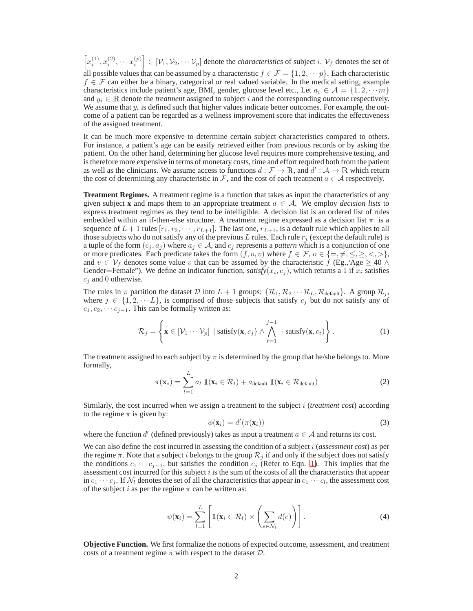$\left[x_i^{(1)}, x_i^{(2)}, \cdots x_i^{(p)}\right] \in [\mathcal{V}_1, \mathcal{V}_2, \cdots \mathcal{V}_p]$  denote the *characteristics* of subject i.  $\mathcal{V}_f$  denotes the set of all possible values that can be assumed by a characteristic  $f \in \mathcal{F} = \{1, 2, \dots p\}$ . Each characteristic  $f \in \mathcal{F}$  can either be a binary, categorical or real valued variable. In the medical setting, example characteristics include patient's age, BMI, gender, glucose level etc., Let  $a_i \in \mathcal{A} = \{1, 2, \dots m\}$ and  $y_i \in \mathbb{R}$  denote the *treatment* assigned to subject i and the corresponding *outcome* respectively. We assume that  $y_i$  is defined such that higher values indicate better outcomes. For example, the outcome of a patient can be regarded as a wellness improvement score that indicates the effectiveness of the assigned treatment.

It can be much more expensive to determine certain subject characteristics compared to others. For instance, a patient's age can be easily retrieved either from previous records or by asking the patient. On the other hand, determining her glucose level requires more comprehensive testing, and is therefore more expensive in terms of monetary costs, time and effort required both from the patient as well as the clinicians. We assume access to functions  $d : \mathcal{F} \to \mathbb{R}$ , and  $d' : \mathcal{A} \to \mathbb{R}$  which return the cost of determining any characteristic in F, and the cost of each treatment  $a \in \mathcal{A}$  respectively.

**Treatment Regimes.** A treatment regime is a function that takes as input the characteristics of any given subject **x** and maps them to an appropriate treatment  $a \in A$ . We employ *decision lists* to express treatment regimes as they tend to be intelligible. A decision list is an ordered list of rules embedded within an if-then-else structure. A treatment regime expressed as a decision list  $\pi$  is a sequence of  $L + 1$  rules  $[r_1, r_2, \dots, r_{L+1}]$ . The last one,  $r_{L+1}$ , is a default rule which applies to all those subjects who do not satisfy any of the previous L rules. Each rule  $r_j$  (except the default rule) is a tuple of the form  $(c_j, a_j)$  where  $a_j \in A$ , and  $c_j$  represents a *pattern* which is a conjunction of one or more predicates. Each predicate takes the form  $(f, o, v)$  where  $f \in \mathcal{F}$ ,  $o \in \{ =, \neq, \leq, \geq, \lt,, \gt\}$ , and  $v \in V_f$  denotes some value v that can be assumed by the characteristic f (Eg., Age  $\geq 40 \land$ Gender=Female"). We define an indicator function, *satisfy*( $x_i$ ,  $c_j$ ), which returns a 1 if  $x_i$  satisfies  $c_j$  and 0 otherwise.

The rules in  $\pi$  partition the dataset D into  $L + 1$  groups:  $\{R_1, R_2 \cdots R_L, R_{\text{default}}\}$ . A group  $\mathcal{R}_j$ , where  $j \in \{1, 2, \dots L\}$ , is comprised of those subjects that satisfy  $c_j$  but do not satisfy any of  $c_1, c_2, \cdots c_{j-1}$ . This can be formally written as:

<span id="page-1-0"></span>
$$
\mathcal{R}_{j} = \left\{ \mathbf{x} \in [\mathcal{V}_{1} \cdots \mathcal{V}_{p}] \mid \text{satisfy}(\mathbf{x}, c_{j}) \land \bigwedge_{t=1}^{j-1} \neg \text{satisfy}(\mathbf{x}, c_{t}) \right\}.
$$
 (1)

The treatment assigned to each subject by  $\pi$  is determined by the group that he/she belongs to. More formally,

$$
\pi(\mathbf{x}_i) = \sum_{l=1}^{L} a_l \, \mathbb{1}(\mathbf{x}_i \in \mathcal{R}_l) + a_{\text{default}} \, \mathbb{1}(\mathbf{x}_i \in \mathcal{R}_{\text{default}})
$$
\n(2)

Similarly, the cost incurred when we assign a treatment to the subject i (*treatment cost*) according to the regime  $\pi$  is given by:

<span id="page-1-2"></span>
$$
\phi(\mathbf{x}_i) = d'(\pi(\mathbf{x}_i))\tag{3}
$$

where the function d' (defined previously) takes as input a treatment  $a \in \mathcal{A}$  and returns its cost.

We can also define the cost incurred in assessing the condition of a subject i (*assessment cost*) as per the regime  $\pi$ . Note that a subject i belongs to the group  $\mathcal{R}_i$  if and only if the subject does not satisfy the conditions  $c_1 \cdots c_{j-1}$ , but satisfies the condition  $c_j$  (Refer to Eqn. [1\)](#page-1-0). This implies that the assessment cost incurred for this subject  $i$  is the sum of the costs of all the characteristics that appear in  $c_1 \cdots c_j$ . If  $\mathcal{N}_l$  denotes the set of all the characteristics that appear in  $c_1 \cdots c_l$ , the assessment cost of the subject i as per the regime  $\pi$  can be written as:

<span id="page-1-1"></span>
$$
\psi(\mathbf{x}_i) = \sum_{l=1}^{L} \left[ \mathbb{1}(\mathbf{x}_i \in \mathcal{R}_l) \times \left( \sum_{e \in \mathcal{N}_l} d(e) \right) \right]. \tag{4}
$$

**Objective Function.** We first formalize the notions of expected outcome, assessment, and treatment costs of a treatment regime  $\pi$  with respect to the dataset  $\mathcal{D}$ .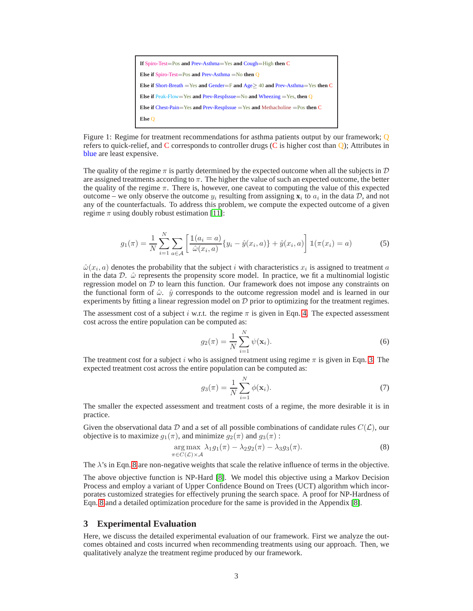

<span id="page-2-1"></span>Figure 1: Regime for treatment recommendations for asthma patients output by our framework; Q refers to quick-relief, and C corresponds to controller drugs (C is higher cost than Q); Attributes in blue are least expensive.

The quality of the regime  $\pi$  is partly determined by the expected outcome when all the subjects in  $\mathcal D$ are assigned treatments according to  $\pi$ . The higher the value of such an expected outcome, the better the quality of the regime  $\pi$ . There is, however, one caveat to computing the value of this expected outcome – we only observe the outcome  $y_i$  resulting from assigning  $\mathbf{x}_i$  to  $a_i$  in the data  $D$ , and not any of the counterfactuals. To address this problem, we compute the expected outcome of a given regime  $\pi$  using doubly robust estimation [\[11\]](#page-4-10):

$$
g_1(\pi) = \frac{1}{N} \sum_{i=1}^{N} \sum_{a \in \mathcal{A}} \left[ \frac{\mathbb{1}(a_i = a)}{\hat{\omega}(x_i, a)} \{y_i - \hat{y}(x_i, a)\} + \hat{y}(x_i, a) \right] \mathbb{1}(\pi(x_i) = a)
$$
(5)

 $\hat{\omega}(x_i, a)$  denotes the probability that the subject i with characteristics  $x_i$  is assigned to treatment a in the data  $D.$   $\hat{\omega}$  represents the propensity score model. In practice, we fit a multinomial logistic regression model on  $D$  to learn this function. Our framework does not impose any constraints on the functional form of  $\hat{\omega}$ .  $\hat{y}$  corresponds to the outcome regression model and is learned in our experiments by fitting a linear regression model on  $D$  prior to optimizing for the treatment regimes.

The assessment cost of a subject i w.r.t. the regime  $\pi$  is given in Eqn. [4.](#page-1-1) The expected assessment cost across the entire population can be computed as:

$$
g_2(\pi) = \frac{1}{N} \sum_{i=1}^{N} \psi(\mathbf{x}_i).
$$
 (6)

The treatment cost for a subject i who is assigned treatment using regime  $\pi$  is given in Eqn. [3.](#page-1-2) The expected treatment cost across the entire population can be computed as:

$$
g_3(\pi) = \frac{1}{N} \sum_{i=1}^{N} \phi(\mathbf{x}_i).
$$
 (7)

The smaller the expected assessment and treatment costs of a regime, the more desirable it is in practice.

Given the observational data D and a set of all possible combinations of candidate rules  $C(\mathcal{L})$ , our objective is to maximize  $g_1(\pi)$ , and minimize  $g_2(\pi)$  and  $g_3(\pi)$ :

<span id="page-2-0"></span>
$$
\underset{\pi \in C(\mathcal{L}) \times \mathcal{A}}{\arg \max} \lambda_1 g_1(\pi) - \lambda_2 g_2(\pi) - \lambda_3 g_3(\pi). \tag{8}
$$

The  $\lambda$ 's in Eqn. [8](#page-2-0) are non-negative weights that scale the relative influence of terms in the objective.

The above objective function is NP-Hard [\[8\]](#page-4-11). We model this objective using a Markov Decision Process and employ a variant of Upper Confidence Bound on Trees (UCT) algorithm which incorporates customized strategies for effectively pruning the search space. A proof for NP-Hardness of Eqn. [8](#page-2-0) and a detailed optimization procedure for the same is provided in the Appendix [\[8\]](#page-4-11).

### **3 Experimental Evaluation**

Here, we discuss the detailed experimental evaluation of our framework. First we analyze the outcomes obtained and costs incurred when recommending treatments using our approach. Then, we qualitatively analyze the treatment regime produced by our framework.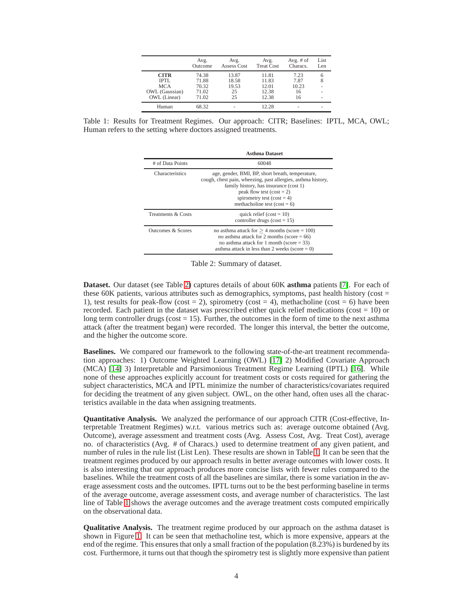|                | Avg.<br>Outcome | Avg.<br>Assess Cost | Avg.<br><b>Treat Cost</b> | Avg. $#$ of<br>Characs. | List<br>Len |
|----------------|-----------------|---------------------|---------------------------|-------------------------|-------------|
| <b>CITR</b>    | 74.38           | 13.87               | 11.81                     | 7.23                    | 6           |
| IPTL           | 71.88           | 18.58               | 11.83                     | 7.87                    | 8           |
| <b>MCA</b>     | 70.32           | 19.53               | 12.01                     | 10.23                   |             |
| OWL (Gaussian) | 71.02           | 25                  | 12.38                     | 16                      |             |
| OWL (Linear)   | 71.02           | 25                  | 12.38                     | 16                      | ۰           |
| Human          | 68.32           |                     | 12.28                     |                         |             |

<span id="page-3-1"></span>Table 1: Results for Treatment Regimes. Our approach: CITR; Baselines: IPTL, MCA, OWL; Human refers to the setting where doctors assigned treatments.

|                    | <b>Asthma Dataset</b>                                                                                                                                                                                                                                      |  |  |
|--------------------|------------------------------------------------------------------------------------------------------------------------------------------------------------------------------------------------------------------------------------------------------------|--|--|
| # of Data Points   | 60048                                                                                                                                                                                                                                                      |  |  |
| Characteristics    | age, gender, BMI, BP, short breath, temperature,<br>cough, chest pain, wheezing, past allergies, asthma history,<br>family history, has insurance (cost 1)<br>peak flow test $(cost = 2)$<br>spirometry test (cost = 4)<br>methacholine test (cost = $6$ ) |  |  |
| Treatments & Costs | quick relief $(cost = 10)$<br>controller drugs ( $cost = 15$ )                                                                                                                                                                                             |  |  |
| Outcomes & Scores  | no asthma attack for $>$ 4 months (score = 100)<br>no asthma attack for 2 months (score $= 66$ )<br>no asthma attack for 1 month (score $=$ 33)<br>asthma attack in less than 2 weeks (score $= 0$ )                                                       |  |  |

<span id="page-3-0"></span>Table 2: Summary of dataset.

**Dataset.** Our dataset (see Table [2\)](#page-3-0) captures details of about 60K **asthma** patients [\[7\]](#page-4-7). For each of these 60K patients, various attributes such as demographics, symptoms, past health history (cost  $=$ 1), test results for peak-flow (cost = 2), spirometry (cost = 4), methacholine (cost = 6) have been recorded. Each patient in the dataset was prescribed either quick relief medications ( $cost = 10$ ) or long term controller drugs ( $cost = 15$ ). Further, the outcomes in the form of time to the next asthma attack (after the treatment began) were recorded. The longer this interval, the better the outcome, and the higher the outcome score.

**Baselines.** We compared our framework to the following state-of-the-art treatment recommendation approaches: 1) Outcome Weighted Learning (OWL) [\[17\]](#page-4-12) 2) Modified Covariate Approach (MCA) [\[14\]](#page-4-13) 3) Interpretable and Parsimonious Treatment Regime Learning (IPTL) [\[16\]](#page-4-14). While none of these approaches explicitly account for treatment costs or costs required for gathering the subject characteristics, MCA and IPTL minimize the number of characteristics/covariates required for deciding the treatment of any given subject. OWL, on the other hand, often uses all the characteristics available in the data when assigning treatments.

**Quantitative Analysis.** We analyzed the performance of our approach CITR (Cost-effective, Interpretable Treatment Regimes) w.r.t. various metrics such as: average outcome obtained (Avg. Outcome), average assessment and treatment costs (Avg. Assess Cost, Avg. Treat Cost), average no. of characteristics (Avg. # of Characs.) used to determine treatment of any given patient, and number of rules in the rule list (List Len). These results are shown in Table [1.](#page-3-1) It can be seen that the treatment regimes produced by our approach results in better average outcomes with lower costs. It is also interesting that our approach produces more concise lists with fewer rules compared to the baselines. While the treatment costs of all the baselines are similar, there is some variation in the average assessment costs and the outcomes. IPTL turns out to be the best performing baseline in terms of the average outcome, average assessment costs, and average number of characteristics. The last line of Table [1](#page-3-1) shows the average outcomes and the average treatment costs computed empirically on the observational data.

**Qualitative Analysis.** The treatment regime produced by our approach on the asthma dataset is shown in Figure [1.](#page-2-1) It can be seen that methacholine test, which is more expensive, appears at the end of the regime. This ensures that only a small fraction of the population (8.23%) is burdened by its cost. Furthermore, it turns out that though the spirometry test is slightly more expensive than patient